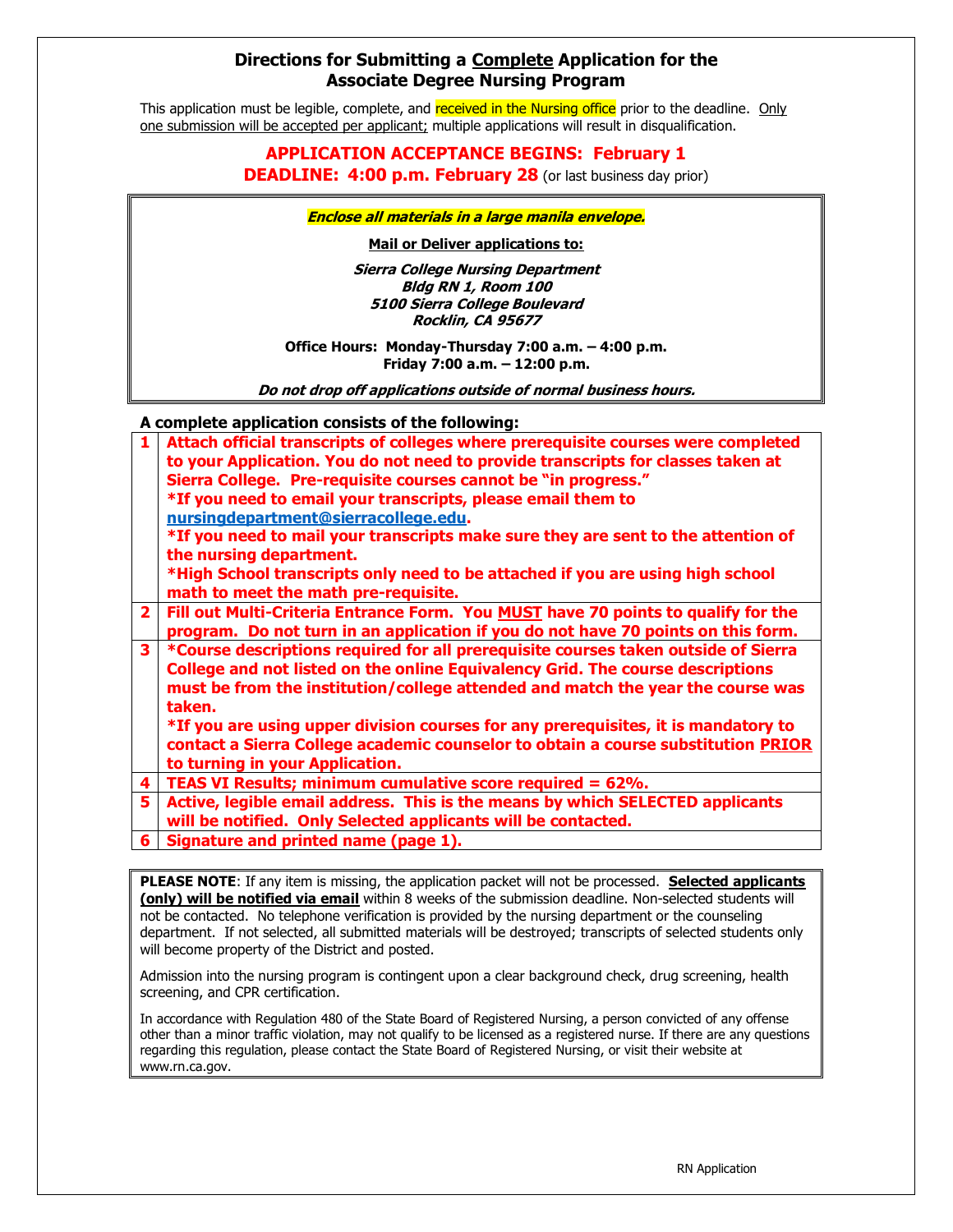## **Directions for Submitting a Complete Application for the Associate Degree Nursing Program**

This application must be legible, complete, and received in the Nursing office prior to the deadline. Only one submission will be accepted per applicant; multiple applications will result in disqualification.

## **APPLICATION ACCEPTANCE BEGINS: February 1**

**DEADLINE: 4:00 p.m. February 28** (or last business day prior)

**Enclose all materials in a large manila envelope.** 

**Mail or Deliver applications to:**

**Sierra College Nursing Department Bldg RN 1, Room 100 5100 Sierra College Boulevard Rocklin, CA 95677**

**Office Hours: Monday-Thursday 7:00 a.m. – 4:00 p.m. Friday 7:00 a.m. – 12:00 p.m.**

**Do not drop off applications outside of normal business hours.**

**A complete application consists of the following:**

|                                                                                                        | A complete application consists of the following.                                  |  |
|--------------------------------------------------------------------------------------------------------|------------------------------------------------------------------------------------|--|
| 1                                                                                                      | Attach official transcripts of colleges where prerequisite courses were completed  |  |
|                                                                                                        | to your Application. You do not need to provide transcripts for classes taken at   |  |
|                                                                                                        | Sierra College. Pre-requisite courses cannot be "in progress."                     |  |
|                                                                                                        | *If you need to email your transcripts, please email them to                       |  |
|                                                                                                        | nursingdepartment@sierracollege.edu.                                               |  |
|                                                                                                        | *If you need to mail your transcripts make sure they are sent to the attention of  |  |
|                                                                                                        | the nursing department.                                                            |  |
|                                                                                                        | *High School transcripts only need to be attached if you are using high school     |  |
|                                                                                                        | math to meet the math pre-requisite.                                               |  |
| $\overline{2}$                                                                                         | Fill out Multi-Criteria Entrance Form. You MUST have 70 points to qualify for the  |  |
|                                                                                                        | program. Do not turn in an application if you do not have 70 points on this form.  |  |
| $\overline{\mathbf{3}}$                                                                                | *Course descriptions required for all prerequisite courses taken outside of Sierra |  |
|                                                                                                        | College and not listed on the online Equivalency Grid. The course descriptions     |  |
|                                                                                                        | must be from the institution/college attended and match the year the course was    |  |
|                                                                                                        | taken.                                                                             |  |
|                                                                                                        | *If you are using upper division courses for any prerequisites, it is mandatory to |  |
|                                                                                                        | contact a Sierra College academic counselor to obtain a course substitution PRIOR  |  |
|                                                                                                        | to turning in your Application.                                                    |  |
| 4                                                                                                      | TEAS VI Results; minimum cumulative score required = 62%.                          |  |
| 5                                                                                                      | Active, legible email address. This is the means by which SELECTED applicants      |  |
|                                                                                                        | will be notified. Only Selected applicants will be contacted.                      |  |
| 6                                                                                                      | Signature and printed name (page 1).                                               |  |
|                                                                                                        |                                                                                    |  |
| PLEASE NOTE: If any item is missing, the application packet will not be processed. Selected applicants |                                                                                    |  |

**(only) will be notified via email** within 8 weeks of the submission deadline. Non-selected students will not be contacted. No telephone verification is provided by the nursing department or the counseling department. If not selected, all submitted materials will be destroyed; transcripts of selected students only will become property of the District and posted.

Admission into the nursing program is contingent upon a clear background check, drug screening, health screening, and CPR certification.

In accordance with Regulation 480 of the State Board of Registered Nursing, a person convicted of any offense other than a minor traffic violation, may not qualify to be licensed as a registered nurse. If there are any questions regarding this regulation, please contact the State Board of Registered Nursing, or visit their website at www.rn.ca.gov.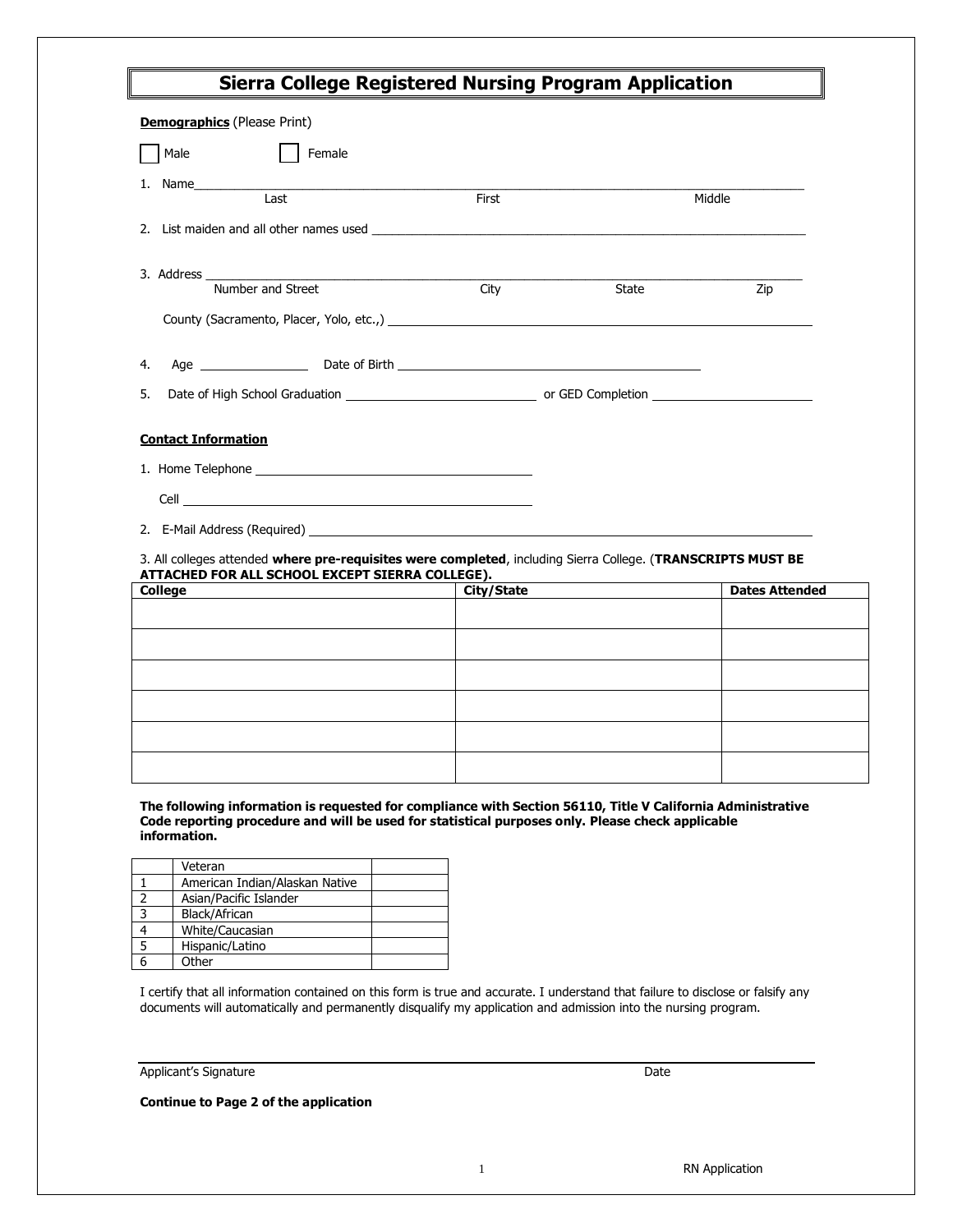| <b>Sierra College Registered Nursing Program Application</b>                                                                                                                                                                         |            |              |                       |  |
|--------------------------------------------------------------------------------------------------------------------------------------------------------------------------------------------------------------------------------------|------------|--------------|-----------------------|--|
| <b>Demographics</b> (Please Print)                                                                                                                                                                                                   |            |              |                       |  |
| Male<br>Female                                                                                                                                                                                                                       |            |              |                       |  |
| 1. Name                                                                                                                                                                                                                              |            |              |                       |  |
| Last                                                                                                                                                                                                                                 | First      |              | Middle                |  |
| 2. List maiden and all other names used and the state of the state of the state of the state of the state of the state of the state of the state of the state of the state of the state of the state of the state of the state       |            |              |                       |  |
| 3. Address <u>Number</u> and Street                                                                                                                                                                                                  |            |              |                       |  |
|                                                                                                                                                                                                                                      | City       | <b>State</b> | Zip                   |  |
|                                                                                                                                                                                                                                      |            |              |                       |  |
| 4.                                                                                                                                                                                                                                   |            |              |                       |  |
| 5.                                                                                                                                                                                                                                   |            |              |                       |  |
| <b>Contact Information</b>                                                                                                                                                                                                           |            |              |                       |  |
| 1. Home Telephone and the state of the state of the state of the state of the state of the state of the state of the state of the state of the state of the state of the state of the state of the state of the state of the s       |            |              |                       |  |
| Cell <u>superior and the contract of the contract of the contract of the contract of the contract of the contract of the contract of the contract of the contract of the contract of the contract of the contract of the contrac</u> |            |              |                       |  |
|                                                                                                                                                                                                                                      |            |              |                       |  |
| 3. All colleges attended where pre-requisites were completed, including Sierra College. (TRANSCRIPTS MUST BE<br>ATTACHED FOR ALL SCHOOL EXCEPT SIERRA COLLEGE).                                                                      |            |              |                       |  |
| <b>College</b>                                                                                                                                                                                                                       | City/State |              | <b>Dates Attended</b> |  |
|                                                                                                                                                                                                                                      |            |              |                       |  |
|                                                                                                                                                                                                                                      |            |              |                       |  |
|                                                                                                                                                                                                                                      |            |              |                       |  |
|                                                                                                                                                                                                                                      |            |              |                       |  |

**The following information is requested for compliance with Section 56110, Title V California Administrative** 

**Code reporting procedure and will be used for statistical purposes only. Please check applicable information.**

| Veteran                        |  |
|--------------------------------|--|
| American Indian/Alaskan Native |  |
| Asian/Pacific Islander         |  |
| Black/African                  |  |
| White/Caucasian                |  |
| Hispanic/Latino                |  |
| Other                          |  |

I certify that all information contained on this form is true and accurate. I understand that failure to disclose or falsify any documents will automatically and permanently disqualify my application and admission into the nursing program.

Applicant's Signature Date

**Continue to Page 2 of the application**